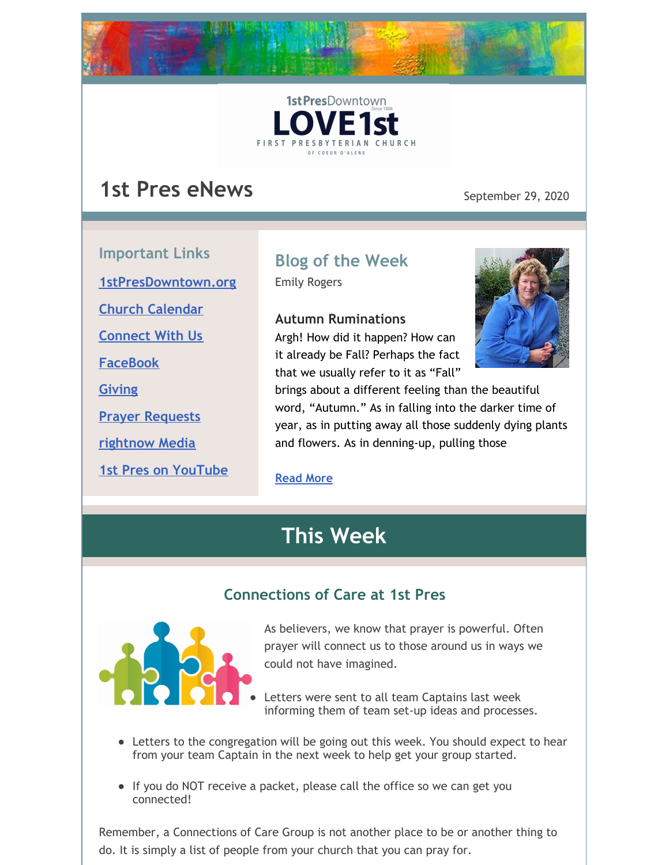



# **1st Pres eNews** September 29, 2020

**Important Links [1stPresDowntown.org](http://www.1stpresdowntown.org/) Church [Calendar](http://www.1stpresdowntown.org/calendar/) [Connect](https://www.1stpresdowntown.org/connect-with-us.html) With Us [FaceBook](https://www.facebook.com/cdadowntownchurch/) [Giving](https://www.eservicepayments.com/cgi-bin/Vanco_ver3.vps?appver3=Fi1giPL8kwX_Oe1AO50jRhFtjI3jPush-TiV_cWeMqos4NSQukCYDzKLUtTTUlsf2EvVVAEjqawDomKT1pbouWbIw4yEvEZZftNOfs1-eIM%3D&ver=3) Prayer [Requests](https://www.1stpresdowntown.org/prayer-request.html) [rightnow](https://accounts.rightnowmedia.org/Account/Invite/FirstPresDowntown?returnUrl=https://www.rightnowmedia.org/Account/Media/InviteReturn) Media**

**1st Pres on [YouTube](https://www.youtube.com/channel/UCCfruZriuZfS2hVar79nXbQ)**

# **Blog of the Week**

Emily Rogers

#### **Autumn Ruminations**

Argh! How did it happen? How can it already be Fall? Perhaps the fact that we usually refer to it as "Fall"



brings about a different feeling than the beautiful word, "Autumn." As in falling into the darker time of year, as in putting away all those suddenly dying plants and flowers. As in denning-up, pulling those

#### **[Read](https://www.1stpresdowntown.org/blog/autumn-ruminations) More**

# **This Week**

### **Connections of Care at 1st Pres**



As believers, we know that prayer is powerful. Often prayer will connect us to those around us in ways we could not have imagined.

- Letters were sent to all team Captains last week informing them of team set-up ideas and processes.
- Letters to the congregation will be going out this week. You should expect to hear from your team Captain in the next week to help get your group started.
- If you do NOT receive a packet, please call the office so we can get you connected!

Remember, a Connections of Care Group is not another place to be or another thing to do. It is simply a list of people from your church that you can pray for.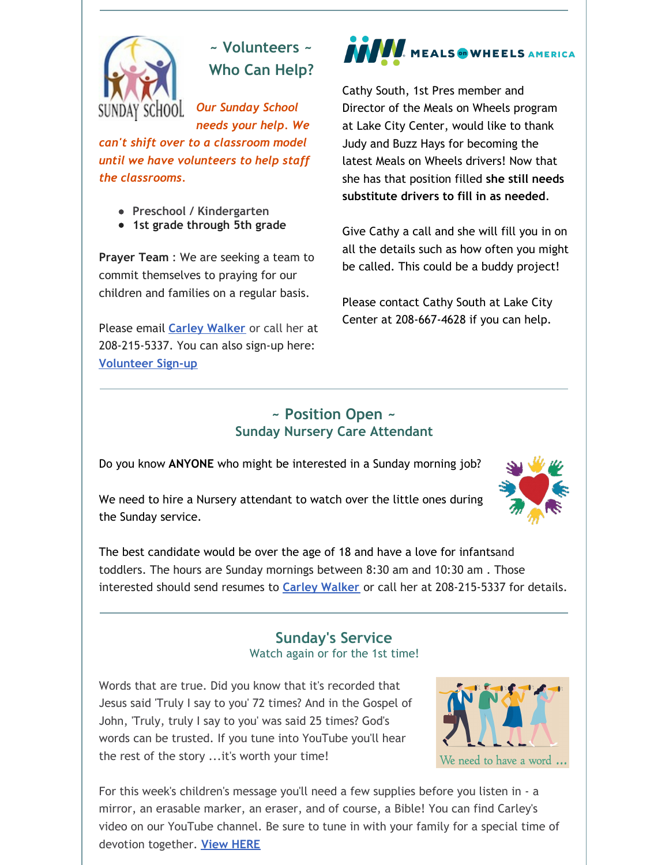

**~ Volunteers ~ Who Can Help?**

*Our Sunday School needs your help. We can't shift over to a classroom model until we have volunteers to help staff the classrooms.*

- **Preschool / Kindergarten**
- **1st grade through 5th grade**

**Prayer Team** : We are seeking a team to commit themselves to praying for our children and families on a regular basis.

Please email **Carley [Walker](mailto:carley@1stpresdowntown.org)** or call her at 208-215-5337. You can also sign-up here: **[Volunteer](https://docs.google.com/document/d/1KouiI7uvWPqtZYK3VD1tvbmyIikgW1VhLwfadk18UZk/edit) Sign-up**

# **WEALS ON WHEELS AMERICA**

Cathy South, 1st Pres member and Director of the Meals on Wheels program at Lake City Center, would like to thank Judy and Buzz Hays for becoming the latest Meals on Wheels drivers! Now that she has that position filled **she still needs substitute drivers to fill in as needed**.

Give Cathy a call and she will fill you in on all the details such as how often you might be called. This could be a buddy project!

Please contact Cathy South at Lake City Center at 208-667-4628 if you can help.

#### **~ Position Open ~ Sunday Nursery Care Attendant**

Do you know **ANYONE** who might be interested in a Sunday morning job?

We need to hire a Nursery attendant to watch over the little ones during the Sunday service.



#### **Sunday's Service** Watch again or for the 1st time!

Words that are true. Did you know that it's recorded that Jesus said 'Truly I say to you' 72 times? And in the Gospel of John, 'Truly, truly I say to you' was said 25 times? God's words can be trusted. If you tune into YouTube you'll hear the rest of the story ...it's worth your time!



For this week's children's message you'll need a few supplies before you listen in - a mirror, an erasable marker, an eraser, and of course, a Bible! You can find Carley's video on our YouTube channel. Be sure to tune in with your family for a special time of devotion together. **View [HERE](https://youtu.be/JEDAjBleWgI)**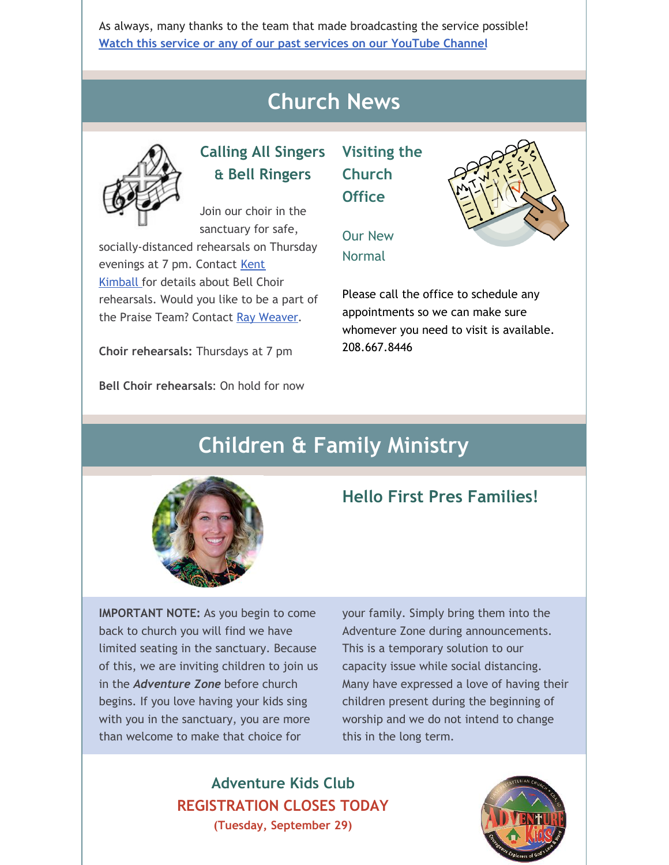As always, many thanks to the team that made broadcasting the service possible! **Watch this service or any of our past services on our [YouTube](http://r20.rs6.net/tn.jsp?f=001TAEhPUeQXKS9PqOcukkRsNWUgGUBHZ7_nsdteClYMruoiLz1t14TsRr7UTt-UexyP7z8jFaaIPKIpT969G_ZUIkYi5mYoaY3H9bWFO_7npHXgu-wj68OzdnwykJslgohuottq9rPNR3w65MF7RkVXiqP9csz0dJjjE9juxHUxnD7AALW2Znqj4jNvmwW1hgb&c=xj6uxv4Ure-jLmebrsiWHqZgofQxk1jiFOFxtq_GIS985IIRxfa2wg==&ch=yLb4idgMcf26VkL_Lc86HYFK_5hMVavweuM2KPPMNNX6Iob9yt8sLA==) Channel**

# **Church News**



### **Calling All Singers & Bell Ringers**

Join our choir in the sanctuary for safe,

socially-distanced rehearsals on Thursday [evenings](mailto:kent1stpres@gmail.com) at 7 pm. Contact Kent Kimball for details about Bell Choir rehearsals. Would you like to be a part of the Praise Team? Contact Ray [Weaver](mailto:rayweaver102@gmail.com).

**Choir rehearsals:** Thursdays at 7 pm

**Bell Choir rehearsals**: On hold for now

### **Visiting the Church Office**



### Our New Normal

Please call the office to schedule any appointments so we can make sure whomever you need to visit is available. 208.667.8446

# **Children & Family Ministry**



### **Hello First Pres Families!**

**IMPORTANT NOTE:** As you begin to come back to church you will find we have limited seating in the sanctuary. Because of this, we are inviting children to join us in the *Adventure Zone* before church begins. If you love having your kids sing with you in the sanctuary, you are more than welcome to make that choice for

your family. Simply bring them into the Adventure Zone during announcements. This is a temporary solution to our capacity issue while social distancing. Many have expressed a love of having their children present during the beginning of worship and we do not intend to change this in the long term.

**Adventure Kids Club REGISTRATION CLOSES TODAY (Tuesday, September 29)**

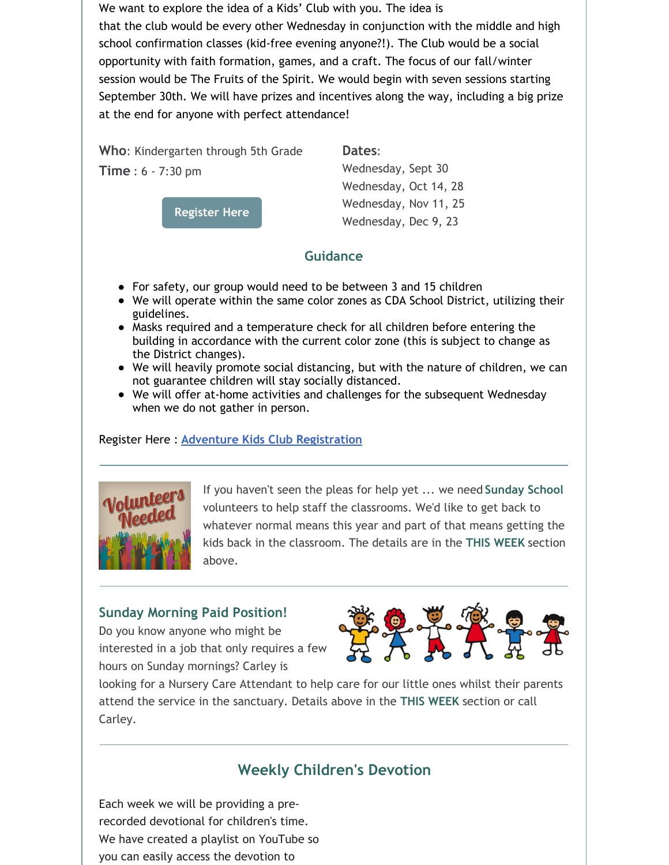We want to explore the idea of a Kids' Club with you. The idea is that the club would be every other Wednesday in conjunction with the middle and high school confirmation classes (kid-free evening anyone?!). The Club would be a social opportunity with faith formation, games, and a craft. The focus of our fall/winter session would be The Fruits of the Spirit. We would begin with seven sessions starting September 30th. We will have prizes and incentives along the way, including a big prize at the end for anyone with perfect attendance!

**Who**: Kindergarten through 5th Grade **Time** : 6 - 7:30 pm

**[Register](https://1stpres.churchcenter.com/registrations/events/539463) Here**

**Dates**:

Wednesday, Sept 30 Wednesday, Oct 14, 28 Wednesday, Nov 11, 25 Wednesday, Dec 9, 23

#### **Guidance**

- For safety, our group would need to be between 3 and 15 children
- We will operate within the same color zones as CDA School District, utilizing their guidelines.
- Masks required and a temperature check for all children before entering the building in accordance with the current color zone (this is subject to change as the District changes).
- We will heavily promote social distancing, but with the nature of children, we can not guarantee children will stay socially distanced.
- We will offer at-home activities and challenges for the subsequent Wednesday when we do not gather in person.

#### Register Here : **Adventure Kids Club [Registration](https://1stpres.churchcenter.com/registrations/events/539463)**



If you haven't seen the pleas for help yet ... we need **Sunday School** volunteers to help staff the classrooms. We'd like to get back to whatever normal means this year and part of that means getting the kids back in the classroom. The details are in the **THIS WEEK** section above.

#### **Sunday Morning Paid Position!**

Do you know anyone who might be interested in a job that only requires a few hours on Sunday mornings? Carley is



looking for a Nursery Care Attendant to help care for our little ones whilst their parents attend the service in the sanctuary. Details above in the **THIS WEEK** section or call Carley.

### **Weekly Children's Devotion**

Each week we will be providing a prerecorded devotional for children's time. We have created a playlist on YouTube so you can easily access the devotion to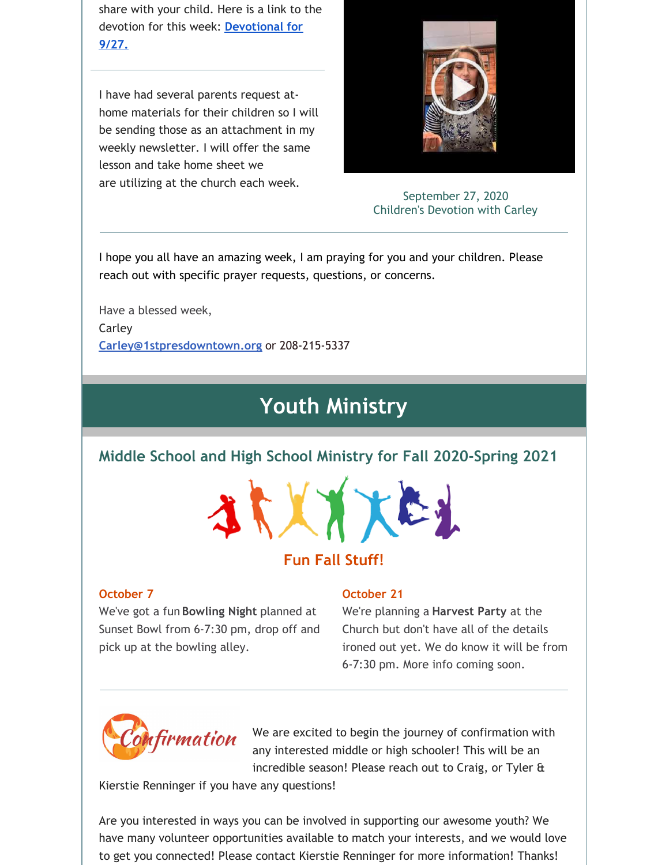share with your child. Here is a link to the devotion for this week: **[Devotional](https://youtu.be/JEDAjBleWgI) for 9/27.**

I have had several parents request athome materials for their children so I will be sending those as an attachment in my weekly newsletter. I will offer the same lesson and take home sheet we are utilizing at the church each week.



September 27, 2020 Children's Devotion with Carley

I hope you all have an amazing week, I am praying for you and your children. Please reach out with specific prayer requests, questions, or concerns.

Have a blessed week, Carley **[Carley@1stpresdowntown.org](mailto:Carley@1stpresdowntown.org)** or 208-215-5337

# **Youth Ministry**

#### **Middle School and High School Ministry for Fall 2020-Spring 2021**



### **Fun Fall Stuff!**

#### **October 7**

We've got a fun **Bowling Night** planned at Sunset Bowl from 6-7:30 pm, drop off and pick up at the bowling alley.

#### **October 21**

We're planning a **Harvest Party** at the Church but don't have all of the details ironed out yet. We do know it will be from 6-7:30 pm. More info coming soon.



We are excited to begin the journey of confirmation with any interested middle or high schooler! This will be an incredible season! Please reach out to Craig, or Tyler &

Kierstie Renninger if you have any questions!

Are you interested in ways you can be involved in supporting our awesome youth? We have many volunteer opportunities available to match your interests, and we would love to get you connected! Please contact Kierstie Renninger for more information! Thanks!